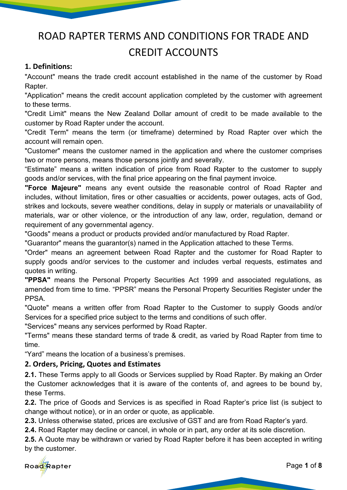# ROAD RAPTER TERMS AND CONDITIONS FOR TRADE AND CREDIT ACCOUNTS

## **1. Definitions:**

"Account" means the trade credit account established in the name of the customer by Road Rapter.

"Application" means the credit account application completed by the customer with agreement to these terms.

"Credit Limit" means the New Zealand Dollar amount of credit to be made available to the customer by Road Rapter under the account.

"Credit Term" means the term (or timeframe) determined by Road Rapter over which the account will remain open.

"Customer" means the customer named in the application and where the customer comprises two or more persons, means those persons jointly and severally.

"Estimate" means a written indication of price from Road Rapter to the customer to supply goods and/or services, with the final price appearing on the final payment invoice.

**"Force Majeure"** means any event outside the reasonable control of Road Rapter and includes, without limitation, fires or other casualties or accidents, power outages, acts of God, strikes and lockouts, severe weather conditions, delay in supply or materials or unavailability of materials, war or other violence, or the introduction of any law, order, regulation, demand or requirement of any governmental agency.

"Goods" means a product or products provided and/or manufactured by Road Rapter.

"Guarantor" means the guarantor(s) named in the Application attached to these Terms.

"Order" means an agreement between Road Rapter and the customer for Road Rapter to supply goods and/or services to the customer and includes verbal requests, estimates and quotes in writing.

**"PPSA"** means the Personal Property Securities Act 1999 and associated regulations, as amended from time to time. "PPSR" means the Personal Property Securities Register under the PPSA.

"Quote" means a written offer from Road Rapter to the Customer to supply Goods and/or Services for a specified price subject to the terms and conditions of such offer.

"Services" means any services performed by Road Rapter.

"Terms" means these standard terms of trade & credit, as varied by Road Rapter from time to time.

"Yard" means the location of a business's premises.

# **2. Orders, Pricing, Quotes and Estimates**

**2.1.** These Terms apply to all Goods or Services supplied by Road Rapter. By making an Order the Customer acknowledges that it is aware of the contents of, and agrees to be bound by, these Terms.

**2.2.** The price of Goods and Services is as specified in Road Rapter's price list (is subject to change without notice), or in an order or quote, as applicable.

**2.3.** Unless otherwise stated, prices are exclusive of GST and are from Road Rapter's yard.

**2.4.** Road Rapter may decline or cancel, in whole or in part, any order at its sole discretion.

**2.5.** A Quote may be withdrawn or varied by Road Rapter before it has been accepted in writing by the customer.

Road Rapter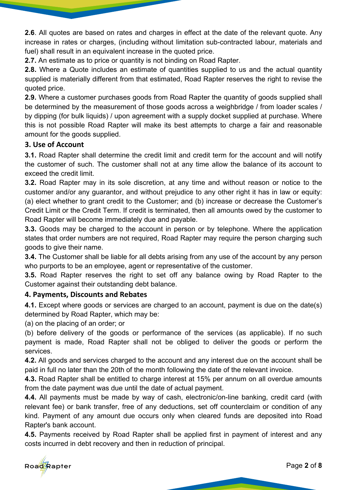**2.6**. All quotes are based on rates and charges in effect at the date of the relevant quote. Any increase in rates or charges, (including without limitation sub-contracted labour, materials and fuel) shall result in an equivalent increase in the quoted price.

**2.7.** An estimate as to price or quantity is not binding on Road Rapter.

**2.8.** Where a Quote includes an estimate of quantities supplied to us and the actual quantity supplied is materially different from that estimated, Road Rapter reserves the right to revise the quoted price.

**2.9.** Where a customer purchases goods from Road Rapter the quantity of goods supplied shall be determined by the measurement of those goods across a weighbridge / from loader scales / by dipping (for bulk liquids) / upon agreement with a supply docket supplied at purchase. Where this is not possible Road Rapter will make its best attempts to charge a fair and reasonable amount for the goods supplied.

# **3. Use of Account**

**3.1.** Road Rapter shall determine the credit limit and credit term for the account and will notify the customer of such. The customer shall not at any time allow the balance of its account to exceed the credit limit.

**3.2.** Road Rapter may in its sole discretion, at any time and without reason or notice to the customer and/or any guarantor, and without prejudice to any other right it has in law or equity: (a) elect whether to grant credit to the Customer; and (b) increase or decrease the Customer's Credit Limit or the Credit Term. If credit is terminated, then all amounts owed by the customer to Road Rapter will become immediately due and payable.

**3.3.** Goods may be charged to the account in person or by telephone. Where the application states that order numbers are not required, Road Rapter may require the person charging such goods to give their name.

**3.4.** The Customer shall be liable for all debts arising from any use of the account by any person who purports to be an employee, agent or representative of the customer.

**3.5.** Road Rapter reserves the right to set off any balance owing by Road Rapter to the Customer against their outstanding debt balance.

# **4. Payments, Discounts and Rebates**

**4.1.** Except where goods or services are charged to an account, payment is due on the date(s) determined by Road Rapter, which may be:

(a) on the placing of an order; or

(b) before delivery of the goods or performance of the services (as applicable). If no such payment is made, Road Rapter shall not be obliged to deliver the goods or perform the services.

**4.2.** All goods and services charged to the account and any interest due on the account shall be paid in full no later than the 20th of the month following the date of the relevant invoice.

**4.3.** Road Rapter shall be entitled to charge interest at 15% per annum on all overdue amounts from the date payment was due until the date of actual payment.

**4.4.** All payments must be made by way of cash, electronic/on-line banking, credit card (with relevant fee) or bank transfer, free of any deductions, set off counterclaim or condition of any kind. Payment of any amount due occurs only when cleared funds are deposited into Road Rapter's bank account.

**4.5.** Payments received by Road Rapter shall be applied first in payment of interest and any costs incurred in debt recovery and then in reduction of principal.

Road Rapter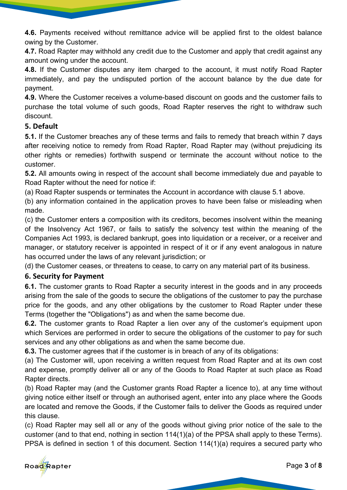**4.6.** Payments received without remittance advice will be applied first to the oldest balance owing by the Customer.

**4.7.** Road Rapter may withhold any credit due to the Customer and apply that credit against any amount owing under the account.

**4.8.** If the Customer disputes any item charged to the account, it must notify Road Rapter immediately, and pay the undisputed portion of the account balance by the due date for payment.

**4.9.** Where the Customer receives a volume-based discount on goods and the customer fails to purchase the total volume of such goods, Road Rapter reserves the right to withdraw such discount.

# **5. Default**

**5.1.** If the Customer breaches any of these terms and fails to remedy that breach within 7 days after receiving notice to remedy from Road Rapter, Road Rapter may (without prejudicing its other rights or remedies) forthwith suspend or terminate the account without notice to the customer.

**5.2.** All amounts owing in respect of the account shall become immediately due and payable to Road Rapter without the need for notice if:

(a) Road Rapter suspends or terminates the Account in accordance with clause 5.1 above.

(b) any information contained in the application proves to have been false or misleading when made.

(c) the Customer enters a composition with its creditors, becomes insolvent within the meaning of the Insolvency Act 1967, or fails to satisfy the solvency test within the meaning of the Companies Act 1993, is declared bankrupt, goes into liquidation or a receiver, or a receiver and manager, or statutory receiver is appointed in respect of it or if any event analogous in nature has occurred under the laws of any relevant jurisdiction; or

(d) the Customer ceases, or threatens to cease, to carry on any material part of its business.

# **6. Security for Payment**

**6.1.** The customer grants to Road Rapter a security interest in the goods and in any proceeds arising from the sale of the goods to secure the obligations of the customer to pay the purchase price for the goods, and any other obligations by the customer to Road Rapter under these Terms (together the "Obligations") as and when the same become due.

**6.2.** The customer grants to Road Rapter a lien over any of the customer's equipment upon which Services are performed in order to secure the obligations of the customer to pay for such services and any other obligations as and when the same become due.

**6.3.** The customer agrees that if the customer is in breach of any of its obligations:

(a) The Customer will, upon receiving a written request from Road Rapter and at its own cost and expense, promptly deliver all or any of the Goods to Road Rapter at such place as Road Rapter directs.

(b) Road Rapter may (and the Customer grants Road Rapter a licence to), at any time without giving notice either itself or through an authorised agent, enter into any place where the Goods are located and remove the Goods, if the Customer fails to deliver the Goods as required under this clause.

(c) Road Rapter may sell all or any of the goods without giving prior notice of the sale to the customer (and to that end, nothing in section 114(1)(a) of the PPSA shall apply to these Terms). PPSA is defined in section 1 of this document. Section 114(1)(a) requires a secured party who

Road Rapter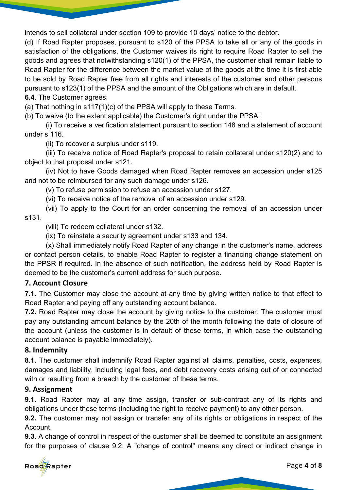intends to sell collateral under section 109 to provide 10 days' notice to the debtor.

(d) If Road Rapter proposes, pursuant to s120 of the PPSA to take all or any of the goods in satisfaction of the obligations, the Customer waives its right to require Road Rapter to sell the goods and agrees that notwithstanding s120(1) of the PPSA, the customer shall remain liable to Road Rapter for the difference between the market value of the goods at the time it is first able to be sold by Road Rapter free from all rights and interests of the customer and other persons pursuant to s123(1) of the PPSA and the amount of the Obligations which are in default.

#### **6.4.** The Customer agrees:

(a) That nothing in s117(1)(c) of the PPSA will apply to these Terms.

(b) To waive (to the extent applicable) the Customer's right under the PPSA:

(i) To receive a verification statement pursuant to section 148 and a statement of account under s 116.

(ii) To recover a surplus under s119.

(iii) To receive notice of Road Rapter's proposal to retain collateral under s120(2) and to object to that proposal under s121.

(iv) Not to have Goods damaged when Road Rapter removes an accession under s125 and not to be reimbursed for any such damage under s126.

(v) To refuse permission to refuse an accession under s127.

(vi) To receive notice of the removal of an accession under s129.

(vii) To apply to the Court for an order concerning the removal of an accession under s131.

(viii) To redeem collateral under s132.

(ix) To reinstate a security agreement under s133 and 134.

(x) Shall immediately notify Road Rapter of any change in the customer's name, address or contact person details, to enable Road Rapter to register a financing change statement on the PPSR if required. In the absence of such notification, the address held by Road Rapter is deemed to be the customer's current address for such purpose.

# **7. Account Closure**

**7.1.** The Customer may close the account at any time by giving written notice to that effect to Road Rapter and paying off any outstanding account balance.

**7.2.** Road Rapter may close the account by giving notice to the customer. The customer must pay any outstanding amount balance by the 20th of the month following the date of closure of the account (unless the customer is in default of these terms, in which case the outstanding account balance is payable immediately).

# **8. Indemnity**

**8.1.** The customer shall indemnify Road Rapter against all claims, penalties, costs, expenses, damages and liability, including legal fees, and debt recovery costs arising out of or connected with or resulting from a breach by the customer of these terms.

# **9. Assignment**

**9.1.** Road Rapter may at any time assign, transfer or sub-contract any of its rights and obligations under these terms (including the right to receive payment) to any other person.

**9.2.** The customer may not assign or transfer any of its rights or obligations in respect of the Account.

**9.3.** A change of control in respect of the customer shall be deemed to constitute an assignment for the purposes of clause 9.2. A "change of control" means any direct or indirect change in

Road Rapter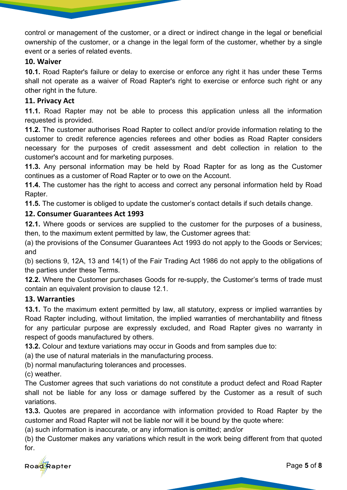control or management of the customer, or a direct or indirect change in the legal or beneficial ownership of the customer, or a change in the legal form of the customer, whether by a single event or a series of related events.

## **10. Waiver**

**10.1.** Road Rapter's failure or delay to exercise or enforce any right it has under these Terms shall not operate as a waiver of Road Rapter's right to exercise or enforce such right or any other right in the future.

# **11. Privacy Act**

**11.1.** Road Rapter may not be able to process this application unless all the information requested is provided.

**11.2.** The customer authorises Road Rapter to collect and/or provide information relating to the customer to credit reference agencies referees and other bodies as Road Rapter considers necessary for the purposes of credit assessment and debt collection in relation to the customer's account and for marketing purposes.

**11.3.** Any personal information may be held by Road Rapter for as long as the Customer continues as a customer of Road Rapter or to owe on the Account.

**11.4.** The customer has the right to access and correct any personal information held by Road Rapter.

**11.5.** The customer is obliged to update the customer's contact details if such details change.

# **12. Consumer Guarantees Act 1993**

**12.1.** Where goods or services are supplied to the customer for the purposes of a business, then, to the maximum extent permitted by law, the Customer agrees that:

(a) the provisions of the Consumer Guarantees Act 1993 do not apply to the Goods or Services; and

(b) sections 9, 12A, 13 and 14(1) of the Fair Trading Act 1986 do not apply to the obligations of the parties under these Terms.

**12.2.** Where the Customer purchases Goods for re-supply, the Customer's terms of trade must contain an equivalent provision to clause 12.1.

# **13. Warranties**

**13.1.** To the maximum extent permitted by law, all statutory, express or implied warranties by Road Rapter including, without limitation, the implied warranties of merchantability and fitness for any particular purpose are expressly excluded, and Road Rapter gives no warranty in respect of goods manufactured by others.

**13.2.** Colour and texture variations may occur in Goods and from samples due to:

(a) the use of natural materials in the manufacturing process.

(b) normal manufacturing tolerances and processes.

(c) weather.

The Customer agrees that such variations do not constitute a product defect and Road Rapter shall not be liable for any loss or damage suffered by the Customer as a result of such variations.

**13.3.** Quotes are prepared in accordance with information provided to Road Rapter by the customer and Road Rapter will not be liable nor will it be bound by the quote where:

(a) such information is inaccurate, or any information is omitted; and/or

(b) the Customer makes any variations which result in the work being different from that quoted for.

Road Rapter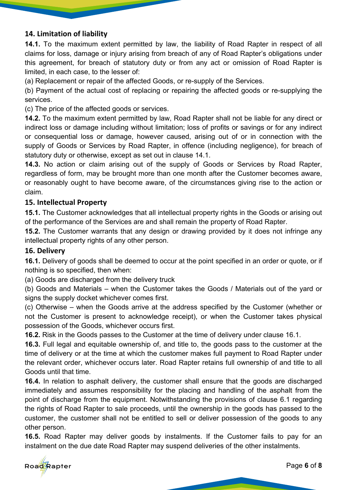# **14. Limitation of liability**

**14.1.** To the maximum extent permitted by law, the liability of Road Rapter in respect of all claims for loss, damage or injury arising from breach of any of Road Rapter's obligations under this agreement, for breach of statutory duty or from any act or omission of Road Rapter is limited, in each case, to the lesser of:

(a) Replacement or repair of the affected Goods, or re-supply of the Services.

(b) Payment of the actual cost of replacing or repairing the affected goods or re-supplying the services.

(c) The price of the affected goods or services.

**14.2.** To the maximum extent permitted by law, Road Rapter shall not be liable for any direct or indirect loss or damage including without limitation; loss of profits or savings or for any indirect or consequential loss or damage, however caused, arising out of or in connection with the supply of Goods or Services by Road Rapter, in offence (including negligence), for breach of statutory duty or otherwise, except as set out in clause 14.1.

**14.3.** No action or claim arising out of the supply of Goods or Services by Road Rapter, regardless of form, may be brought more than one month after the Customer becomes aware, or reasonably ought to have become aware, of the circumstances giving rise to the action or claim.

## **15. Intellectual Property**

**15.1.** The Customer acknowledges that all intellectual property rights in the Goods or arising out of the performance of the Services are and shall remain the property of Road Rapter.

**15.2.** The Customer warrants that any design or drawing provided by it does not infringe any intellectual property rights of any other person.

#### **16. Delivery**

**16.1.** Delivery of goods shall be deemed to occur at the point specified in an order or quote, or if nothing is so specified, then when:

(a) Goods are discharged from the delivery truck

(b) Goods and Materials – when the Customer takes the Goods / Materials out of the yard or signs the supply docket whichever comes first.

(c) Otherwise – when the Goods arrive at the address specified by the Customer (whether or not the Customer is present to acknowledge receipt), or when the Customer takes physical possession of the Goods, whichever occurs first.

**16.2.** Risk in the Goods passes to the Customer at the time of delivery under clause 16.1.

**16.3.** Full legal and equitable ownership of, and title to, the goods pass to the customer at the time of delivery or at the time at which the customer makes full payment to Road Rapter under the relevant order, whichever occurs later. Road Rapter retains full ownership of and title to all Goods until that time.

**16.4.** In relation to asphalt delivery, the customer shall ensure that the goods are discharged immediately and assumes responsibility for the placing and handling of the asphalt from the point of discharge from the equipment. Notwithstanding the provisions of clause 6.1 regarding the rights of Road Rapter to sale proceeds, until the ownership in the goods has passed to the customer, the customer shall not be entitled to sell or deliver possession of the goods to any other person.

**16.5.** Road Rapter may deliver goods by instalments. If the Customer fails to pay for an instalment on the due date Road Rapter may suspend deliveries of the other instalments.

Road Rapter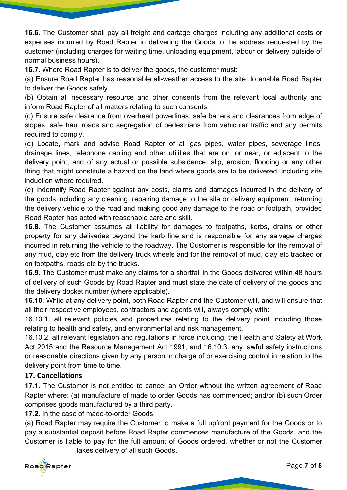**16.6.** The Customer shall pay all freight and cartage charges including any additional costs or expenses incurred by Road Rapter in delivering the Goods to the address requested by the customer (including charges for waiting time, unloading equipment, labour or delivery outside of normal business hours).

**16.7.** Where Road Rapter is to deliver the goods, the customer must:

(a) Ensure Road Rapter has reasonable all-weather access to the site, to enable Road Rapter to deliver the Goods safely.

(b) Obtain all necessary resource and other consents from the relevant local authority and inform Road Rapter of all matters relating to such consents.

(c) Ensure safe clearance from overhead powerlines, safe batters and clearances from edge of slopes, safe haul roads and segregation of pedestrians from vehicular traffic and any permits required to comply.

(d) Locate, mark and advise Road Rapter of all gas pipes, water pipes, sewerage lines, drainage lines, telephone cabling and other utilities that are on, or near, or adjacent to the delivery point, and of any actual or possible subsidence, slip, erosion, flooding or any other thing that might constitute a hazard on the land where goods are to be delivered, including site induction where required.

(e) Indemnify Road Rapter against any costs, claims and damages incurred in the delivery of the goods including any cleaning, repairing damage to the site or delivery equipment, returning the delivery vehicle to the road and making good any damage to the road or footpath, provided Road Rapter has acted with reasonable care and skill.

**16.8.** The Customer assumes all liability for damages to footpaths, kerbs, drains or other property for any deliveries beyond the kerb line and is responsible for any salvage charges incurred in returning the vehicle to the roadway. The Customer is responsible for the removal of any mud, clay etc from the delivery truck wheels and for the removal of mud, clay etc tracked or on footpaths, roads etc by the trucks.

**16.9.** The Customer must make any claims for a shortfall in the Goods delivered within 48 hours of delivery of such Goods by Road Rapter and must state the date of delivery of the goods and the delivery docket number (where applicable).

**16.10.** While at any delivery point, both Road Rapter and the Customer will, and will ensure that all their respective employees, contractors and agents will, always comply with:

16.10.1. all relevant policies and procedures relating to the delivery point including those relating to health and safety, and environmental and risk management.

16.10.2. all relevant legislation and regulations in force including, the Health and Safety at Work Act 2015 and the Resource Management Act 1991; and 16.10.3. any lawful safety instructions or reasonable directions given by any person in charge of or exercising control in relation to the delivery point from time to time.

# **17. Cancellations**

**17.1.** The Customer is not entitled to cancel an Order without the written agreement of Road Rapter where: (a) manufacture of made to order Goods has commenced; and/or (b) such Order comprises goods manufactured by a third party.

**17.2.** In the case of made-to-order Goods:

(a) Road Rapter may require the Customer to make a full upfront payment for the Goods or to pay a substantial deposit before Road Rapter commences manufacture of the Goods, and the Customer is liable to pay for the full amount of Goods ordered, whether or not the Customer

takes delivery of all such Goods.

Road Rapter